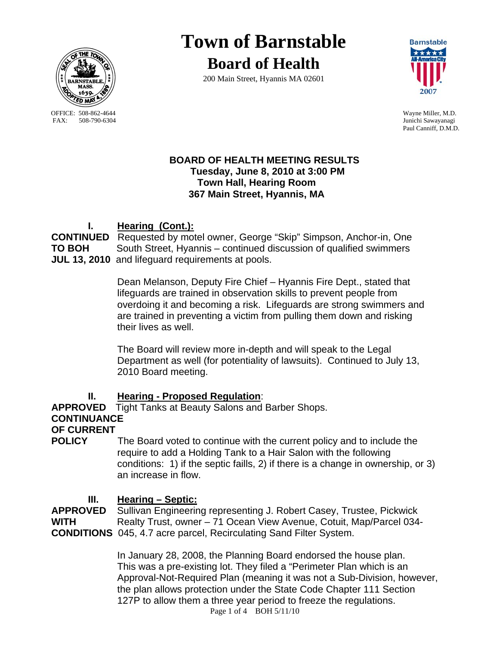

OFFICE: 508-862-4644 Wayne Miller, M.D.<br>
FAX: 508-790-6304 Junichi Sawavanagi

# **Town of Barnstable Board of Health**

200 Main Street, Hyannis MA 02601



Junichi Sawayanagi Paul Canniff, D.M.D.

## **BOARD OF HEALTH MEETING RESULTS Tuesday, June 8, 2010 at 3:00 PM Town Hall, Hearing Room 367 Main Street, Hyannis, MA**

# **I. Hearing (Cont.):**

**CONTINUED** Requested by motel owner, George "Skip" Simpson, Anchor-in, One **TO BOH** South Street, Hyannis – continued discussion of qualified swimmers **JUL 13, 2010** and lifeguard requirements at pools.

> Dean Melanson, Deputy Fire Chief – Hyannis Fire Dept., stated that lifeguards are trained in observation skills to prevent people from overdoing it and becoming a risk. Lifeguards are strong swimmers and are trained in preventing a victim from pulling them down and risking their lives as well.

The Board will review more in-depth and will speak to the Legal Department as well (for potentiality of lawsuits). Continued to July 13, 2010 Board meeting.

# **II. Hearing - Proposed Regulation**:

**APPROVED** Tight Tanks at Beauty Salons and Barber Shops. **CONTINUANCE OF CURRENT** 

**POLICY** The Board voted to continue with the current policy and to include the require to add a Holding Tank to a Hair Salon with the following conditions: 1) if the septic faills, 2) if there is a change in ownership, or 3) an increase in flow.

**III.** Hearing – Septic:<br>APPROVED Sullivan Engineerin Sullivan Engineering representing J. Robert Casey, Trustee, Pickwick WITH Realty Trust, owner – 71 Ocean View Avenue, Cotuit, Map/Parcel 034-**CONDITIONS** 045, 4.7 acre parcel, Recirculating Sand Filter System.

> Page 1 of 4 BOH 5/11/10 In January 28, 2008, the Planning Board endorsed the house plan. This was a pre-existing lot. They filed a "Perimeter Plan which is an Approval-Not-Required Plan (meaning it was not a Sub-Division, however, the plan allows protection under the State Code Chapter 111 Section 127P to allow them a three year period to freeze the regulations.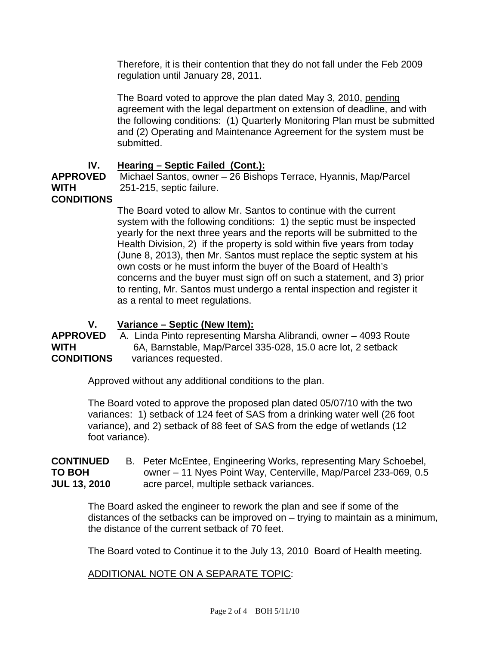Therefore, it is their contention that they do not fall under the Feb 2009 regulation until January 28, 2011.

The Board voted to approve the plan dated May 3, 2010, pending agreement with the legal department on extension of deadline, and with the following conditions: (1) Quarterly Monitoring Plan must be submitted and (2) Operating and Maintenance Agreement for the system must be submitted.

# **IV. Hearing – Septic Failed (Cont.):**

**APPROVED** Michael Santos, owner – 26 Bishops Terrace, Hyannis, Map/Parcel **WITH** 251-215, septic failure.

# **CONDITIONS**

The Board voted to allow Mr. Santos to continue with the current system with the following conditions: 1) the septic must be inspected yearly for the next three years and the reports will be submitted to the Health Division, 2) if the property is sold within five years from today (June 8, 2013), then Mr. Santos must replace the septic system at his own costs or he must inform the buyer of the Board of Health's concerns and the buyer must sign off on such a statement, and 3) prior to renting, Mr. Santos must undergo a rental inspection and register it as a rental to meet regulations.

# **V. Variance – Septic (New Item):**

**APPROVED** A. Linda Pinto representing Marsha Alibrandi, owner – 4093 Route **WITH** 6A, Barnstable, Map/Parcel 335-028, 15.0 acre lot, 2 setback **CONDITIONS** variances requested.

Approved without any additional conditions to the plan.

The Board voted to approve the proposed plan dated 05/07/10 with the two variances: 1) setback of 124 feet of SAS from a drinking water well (26 foot variance), and 2) setback of 88 feet of SAS from the edge of wetlands (12 foot variance).

**CONTINUED** B. Peter McEntee, Engineering Works, representing Mary Schoebel, **TO BOH** owner – 11 Nyes Point Way, Centerville, Map/Parcel 233-069, 0.5 **JUL 13, 2010** acre parcel, multiple setback variances.

The Board asked the engineer to rework the plan and see if some of the distances of the setbacks can be improved on – trying to maintain as a minimum, the distance of the current setback of 70 feet.

The Board voted to Continue it to the July 13, 2010 Board of Health meeting.

#### ADDITIONAL NOTE ON A SEPARATE TOPIC: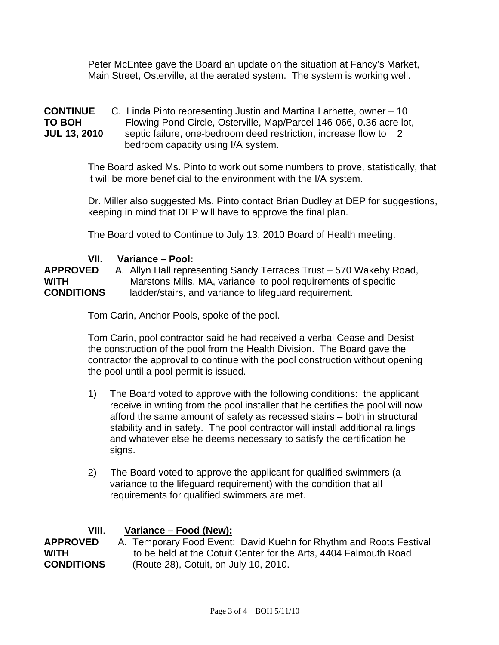Peter McEntee gave the Board an update on the situation at Fancy's Market, Main Street, Osterville, at the aerated system. The system is working well.

#### **CONTINUE** C. Linda Pinto representing Justin and Martina Larhette, owner – 10 **TO BOH** Flowing Pond Circle, Osterville, Map/Parcel 146-066, 0.36 acre lot, **JUL 13, 2010** septic failure, one-bedroom deed restriction, increase flow to 2 bedroom capacity using I/A system.

The Board asked Ms. Pinto to work out some numbers to prove, statistically, that it will be more beneficial to the environment with the I/A system.

Dr. Miller also suggested Ms. Pinto contact Brian Dudley at DEP for suggestions, keeping in mind that DEP will have to approve the final plan.

The Board voted to Continue to July 13, 2010 Board of Health meeting.

## **VII. Variance – Pool:**

**APPROVED** A. Allyn Hall representing Sandy Terraces Trust – 570 Wakeby Road, **WITH** Marstons Mills, MA, variance to pool requirements of specific **CONDITIONS** ladder/stairs, and variance to lifeguard requirement.

Tom Carin, Anchor Pools, spoke of the pool.

Tom Carin, pool contractor said he had received a verbal Cease and Desist the construction of the pool from the Health Division. The Board gave the contractor the approval to continue with the pool construction without opening the pool until a pool permit is issued.

- 1) The Board voted to approve with the following conditions: the applicant receive in writing from the pool installer that he certifies the pool will now afford the same amount of safety as recessed stairs – both in structural stability and in safety. The pool contractor will install additional railings and whatever else he deems necessary to satisfy the certification he signs.
- 2) The Board voted to approve the applicant for qualified swimmers (a variance to the lifeguard requirement) with the condition that all requirements for qualified swimmers are met.

#### **VIII**. **Variance – Food (New):**

**APPROVED** A. Temporary Food Event: David Kuehn for Rhythm and Roots Festival **WITH** to be held at the Cotuit Center for the Arts, 4404 Falmouth Road **CONDITIONS** (Route 28), Cotuit, on July 10, 2010.